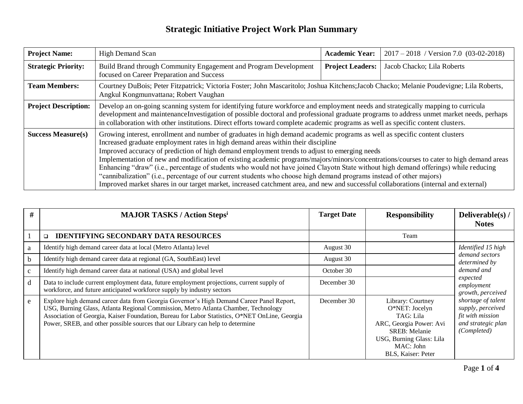| <b>Project Name:</b>        | <b>High Demand Scan</b>                                                                                                                                                                                                                                                                                                                                                                                                                                                                                                                                                                                                                                                                                                                                                                                                                                           | <b>Academic Year:</b>   | $2017 - 2018$ / Version 7.0 (03-02-2018) |  |
|-----------------------------|-------------------------------------------------------------------------------------------------------------------------------------------------------------------------------------------------------------------------------------------------------------------------------------------------------------------------------------------------------------------------------------------------------------------------------------------------------------------------------------------------------------------------------------------------------------------------------------------------------------------------------------------------------------------------------------------------------------------------------------------------------------------------------------------------------------------------------------------------------------------|-------------------------|------------------------------------------|--|
| <b>Strategic Priority:</b>  | Build Brand through Community Engagement and Program Development<br>focused on Career Preparation and Success                                                                                                                                                                                                                                                                                                                                                                                                                                                                                                                                                                                                                                                                                                                                                     | <b>Project Leaders:</b> | Jacob Chacko; Lila Roberts               |  |
| <b>Team Members:</b>        | Courtney DuBois; Peter Fitzpatrick; Victoria Foster; John Mascaritolo; Joshua Kitchens; Jacob Chacko; Melanie Poudevigne; Lila Roberts,<br>Angkul Kongmunvattana; Robert Vaughan                                                                                                                                                                                                                                                                                                                                                                                                                                                                                                                                                                                                                                                                                  |                         |                                          |  |
| <b>Project Description:</b> | Develop an on-going scanning system for identifying future workforce and employment needs and strategically mapping to curricula<br>development and maintenanceInvestigation of possible doctoral and professional graduate programs to address unmet market needs, perhaps<br>in collaboration with other institutions. Direct efforts toward complete academic programs as well as specific content clusters.                                                                                                                                                                                                                                                                                                                                                                                                                                                   |                         |                                          |  |
| <b>Success Measure(s)</b>   | Growing interest, enrollment and number of graduates in high demand academic programs as well as specific content clusters<br>Increased graduate employment rates in high demand areas within their discipline<br>Improved accuracy of prediction of high demand employment trends to adjust to emerging needs<br>Implementation of new and modification of existing academic programs/majors/minors/concentrations/courses to cater to high demand areas<br>Enhancing "draw" (i.e., percentage of students who would not have joined Clayotn State without high demand offerings) while reducing<br>"cannibalization" (i.e., percentage of our current students who choose high demand programs instead of other majors)<br>Improved market shares in our target market, increased catchment area, and new and successful collaborations (internal and external) |                         |                                          |  |

| #            | <b>MAJOR TASKS / Action Stepsi</b>                                                                                                                                                                                                                                                                                                                                | <b>Target Date</b> | <b>Responsibility</b>                                                                                                                                               | Deliverable(s) /<br><b>Notes</b>                                                                                                                              |
|--------------|-------------------------------------------------------------------------------------------------------------------------------------------------------------------------------------------------------------------------------------------------------------------------------------------------------------------------------------------------------------------|--------------------|---------------------------------------------------------------------------------------------------------------------------------------------------------------------|---------------------------------------------------------------------------------------------------------------------------------------------------------------|
|              | <b>IDENTIFYING SECONDARY DATA RESOURCES</b><br>$\Box$                                                                                                                                                                                                                                                                                                             |                    | Team                                                                                                                                                                |                                                                                                                                                               |
| a            | Identify high demand career data at local (Metro Atlanta) level                                                                                                                                                                                                                                                                                                   | August 30          |                                                                                                                                                                     | Identified 15 high                                                                                                                                            |
| b.           | Identify high demand career data at regional (GA, SouthEast) level                                                                                                                                                                                                                                                                                                | August 30          |                                                                                                                                                                     | demand sectors<br>determined by                                                                                                                               |
| $\mathbf{c}$ | Identify high demand career data at national (USA) and global level                                                                                                                                                                                                                                                                                               | October 30         |                                                                                                                                                                     | demand and<br>expected<br>employment<br>growth, perceived<br>shortage of talent<br>supply, perceived<br>fit with mission<br>and strategic plan<br>(Completed) |
| d            | Data to include current employment data, future employment projections, current supply of<br>workforce, and future anticipated workforce supply by industry sectors                                                                                                                                                                                               | December 30        |                                                                                                                                                                     |                                                                                                                                                               |
| e            | Explore high demand career data from Georgia Governor's High Demand Career Panel Report,<br>USG, Burning Glass, Atlanta Regional Commission, Metro Atlanta Chamber, Technology<br>Association of Georgia, Kaiser Foundation, Bureau for Labor Statistics, O*NET OnLine, Georgia<br>Power, SREB, and other possible sources that our Library can help to determine | December 30        | Library: Courtney<br>O*NET: Jocelyn<br>TAG: Lila<br>ARC, Georgia Power: Avi<br><b>SREB</b> : Melanie<br>USG, Burning Glass: Lila<br>MAC: John<br>BLS, Kaiser: Peter |                                                                                                                                                               |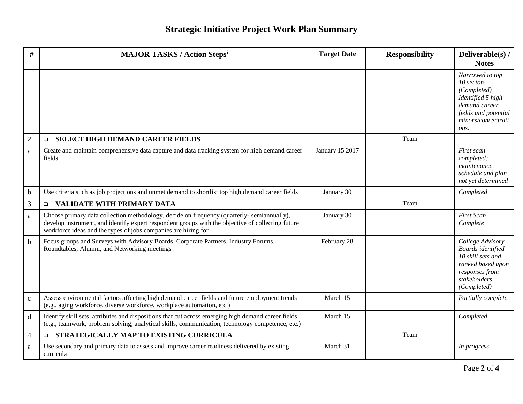| #              | <b>MAJOR TASKS / Action Stepsi</b>                                                                                                                                                                                                                               | <b>Target Date</b> | <b>Responsibility</b> | Deliverable(s) /<br><b>Notes</b>                                                                                                         |
|----------------|------------------------------------------------------------------------------------------------------------------------------------------------------------------------------------------------------------------------------------------------------------------|--------------------|-----------------------|------------------------------------------------------------------------------------------------------------------------------------------|
|                |                                                                                                                                                                                                                                                                  |                    |                       | Narrowed to top<br>10 sectors<br>(Completed)<br>Identified 5 high<br>demand career<br>fields and potential<br>minors/concentrati<br>ons. |
| $\overline{2}$ | <b>SELECT HIGH DEMAND CAREER FIELDS</b><br>$\Box$                                                                                                                                                                                                                |                    | Team                  |                                                                                                                                          |
| a              | Create and maintain comprehensive data capture and data tracking system for high demand career<br>fields                                                                                                                                                         | January 15 2017    |                       | First scan<br>completed;<br>maintenance<br>schedule and plan<br>not yet determined                                                       |
| $\mathbf b$    | Use criteria such as job projections and unmet demand to shortlist top high demand career fields                                                                                                                                                                 | January 30         |                       | Completed                                                                                                                                |
| $\overline{3}$ | VALIDATE WITH PRIMARY DATA<br>$\Box$                                                                                                                                                                                                                             |                    | Team                  |                                                                                                                                          |
| a              | Choose primary data collection methodology, decide on frequency (quarterly-semiannually),<br>develop instrument, and identify expert respondent groups with the objective of collecting future<br>workforce ideas and the types of jobs companies are hiring for | January 30         |                       | <b>First Scan</b><br>Complete                                                                                                            |
| $\mathbf b$    | Focus groups and Surveys with Advisory Boards, Corporate Partners, Industry Forums,<br>Roundtables, Alumni, and Networking meetings                                                                                                                              | February 28        |                       | College Advisory<br>Boards identified<br>10 skill sets and<br>ranked based upon<br>responses from<br>stakeholders<br>(Completed)         |
| $\mathbf{c}$   | Assess environmental factors affecting high demand career fields and future employment trends<br>(e.g., aging workforce, diverse workforce, workplace automation, etc.)                                                                                          | March 15           |                       | Partially complete                                                                                                                       |
| $\mathbf d$    | Identify skill sets, attributes and dispositions that cut across emerging high demand career fields<br>(e.g., teamwork, problem solving, analytical skills, communication, technology competence, etc.)                                                          | March 15           |                       | Completed                                                                                                                                |
| $\overline{4}$ | STRATEGICALLY MAP TO EXISTING CURRICULA<br>$\Box$                                                                                                                                                                                                                |                    | Team                  |                                                                                                                                          |
| a              | Use secondary and primary data to assess and improve career readiness delivered by existing<br>curricula                                                                                                                                                         | March 31           |                       | In progress                                                                                                                              |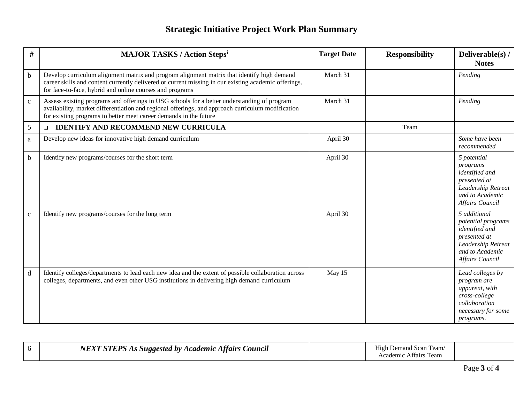| $\#$         | <b>MAJOR TASKS / Action Stepsi</b>                                                                                                                                                                                                                                    | <b>Target Date</b> | <b>Responsibility</b> | Deliverable(s) /<br><b>Notes</b>                                                                                                        |
|--------------|-----------------------------------------------------------------------------------------------------------------------------------------------------------------------------------------------------------------------------------------------------------------------|--------------------|-----------------------|-----------------------------------------------------------------------------------------------------------------------------------------|
| b            | Develop curriculum alignment matrix and program alignment matrix that identify high demand<br>career skills and content currently delivered or current missing in our existing academic offerings,<br>for face-to-face, hybrid and online courses and programs        | March 31           |                       | Pending                                                                                                                                 |
| $\mathbf{C}$ | Assess existing programs and offerings in USG schools for a better understanding of program<br>availability, market differentiation and regional offerings, and approach curriculum modification<br>for existing programs to better meet career demands in the future | March 31           |                       | Pending                                                                                                                                 |
| 5            | <b>IDENTIFY AND RECOMMEND NEW CURRICULA</b><br>$\Box$                                                                                                                                                                                                                 |                    | Team                  |                                                                                                                                         |
| a            | Develop new ideas for innovative high demand curriculum                                                                                                                                                                                                               | April 30           |                       | Some have been<br>recommended                                                                                                           |
| $\mathbf b$  | Identify new programs/courses for the short term                                                                                                                                                                                                                      | April 30           |                       | 5 potential<br>programs<br>identified and<br>presented at<br>Leadership Retreat<br>and to Academic<br><b>Affairs Council</b>            |
| $\mathbf{C}$ | Identify new programs/courses for the long term                                                                                                                                                                                                                       | April 30           |                       | 5 additional<br>potential programs<br>identified and<br>presented at<br>Leadership Retreat<br>and to Academic<br><b>Affairs Council</b> |
| $\mathbf d$  | Identify colleges/departments to lead each new idea and the extent of possible collaboration across<br>colleges, departments, and even other USG institutions in delivering high demand curriculum                                                                    | May 15             |                       | Lead colleges by<br>program are<br>apparent, with<br>cross-college<br>collaboration<br>necessary for some<br>programs.                  |

|  | $\alpha$ mnn $\alpha$<br>Souncil<br><i>ttaırs</i><br>$\boldsymbol{n}$<br>Academic<br>suooested<br>$\mathbf{c}$<br> |  | l eam<br>emand)<br>$\sim$<br>ean<br>Academic<br>Attairs |  |
|--|--------------------------------------------------------------------------------------------------------------------|--|---------------------------------------------------------|--|
|--|--------------------------------------------------------------------------------------------------------------------|--|---------------------------------------------------------|--|